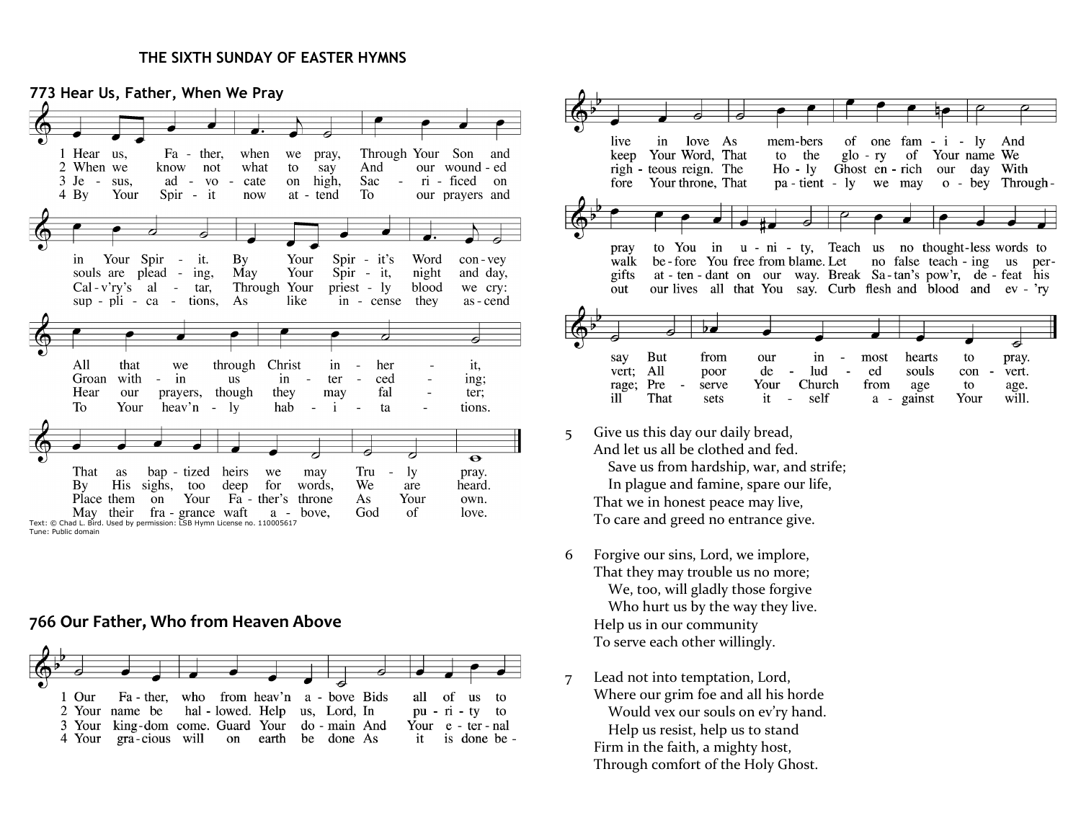#### **THE SIXTH SUNDAY OF EASTER HYMNS**

**773 Hear Us, Father, When We Pray** 1 Hear us, Fa - ther, when Through Your Son we pray, and 2 When we our wound - ed know not what to say And Sac ri - ficed  $3 \text{ Je} - \text{sus}.$ ad  $-$  VO  $\sim$ cate on high,  $\sim$ on.  $4\;\mathrm{By}$ Your Spir - it now at - tend To our prayers and Your Spir - it. By Your  $Spir - it's$ Word con-vey  $in$ Your souls are plead - ing, May Spir - it, night and day, Through Your  $Cal - v'ry's \quad al$  $\sim$   $$ tar, priest - ly blood we cry:  $\sup$  -  $\pi$  -  $\operatorname{ca}$  tions, As like in - cense they as - cend Christ All that through it, we in  $\overline{a}$ her Groan with in **us** in  $\sim$ ter  $\overline{a}$ ced ing;  $\sim$ Hear though they may fal our prayers, ter; To Your heav'n  $\omega_{\rm c}$ 1y hab  $\mathbf{i}$  $\sim$ ta tions.  $\overline{\bullet}$ That as bap - tized heirs we Tru -ly pray. may By His sighs, too deep for words, We are heard. Place them on Your Fa - ther's throne As Your own. May their fra - grance waft God of love.  $a$ bove. Text: © Chad L. Bird. Used by permission: LSB Hymn License no. 110005617

Tune: Public domain

#### **766 Our Father, Who from Heaven Above**





- 5 Give us this day our daily bread, And let us all be clothed and fed. Save us from hardship, war, and strife; In plague and famine, spare our life, That we in honest peace may live, To care and greed no entrance give.
- 6 Forgive our sins, Lord, we implore, That they may trouble us no more; We, too, will gladly those forgive Who hurt us by the way they live. Help us in our community To serve each other willingly.
- 7 Lead not into temptation, Lord, Where our grim foe and all his horde Would vex our souls on ev'ry hand. Help us resist, help us to stand Firm in the faith, a mighty host, Through comfort of the Holy Ghost.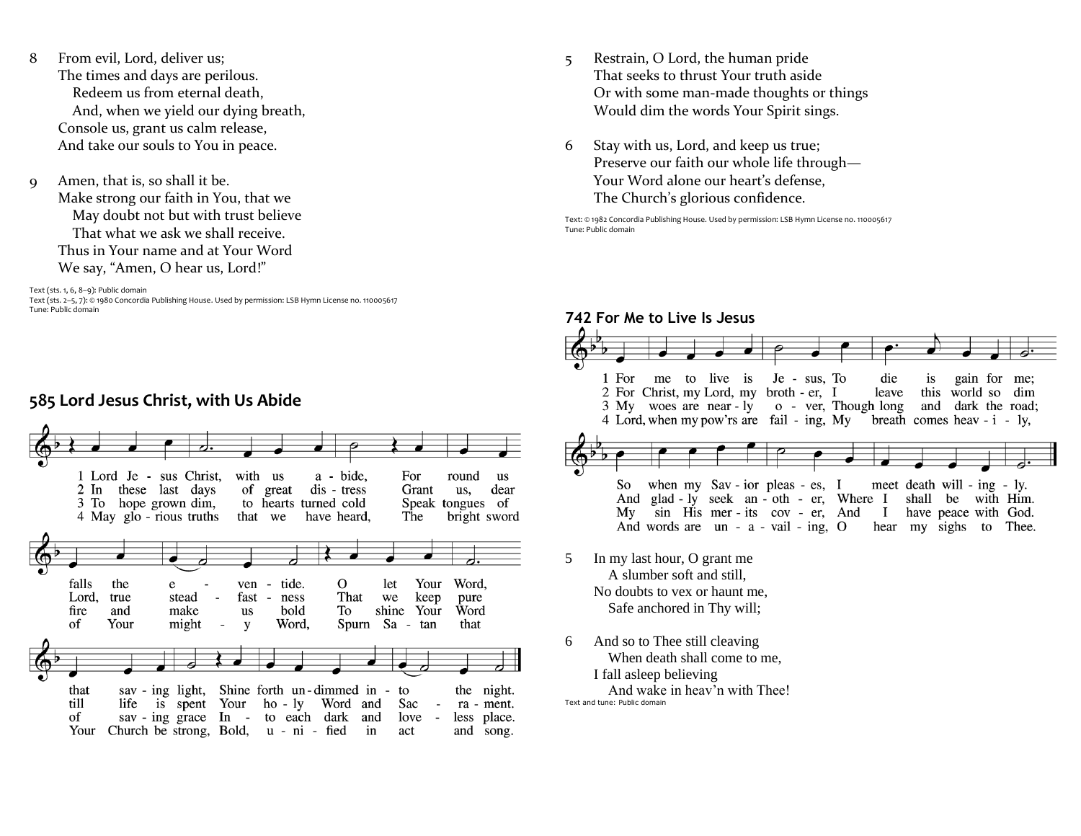- 8 From evil, Lord, deliver us; The times and days are perilous. Redeem us from eternal death, And, when we yield our dying breath, Console us, grant us calm release, And take our souls to You in peace.
- 9 Amen, that is, so shall it be. Make strong our faith in You, that we May doubt not but with trust believe That what we ask we shall receive. Thus in Your name and at Your Word We say, "Amen, O hear us, Lord!"

#### Text (sts. 1, 6, 8–9): Public domain

Text (sts. 2–5, 7): © 1980 Concordia Publishing House. Used by permission: LSB Hymn License no. 110005617 Tune: Public domain



## **585 Lord Jesus Christ, with Us Abide**

- 5 Restrain, O Lord, the human pride That seeks to thrust Your truth aside Or with some man-made thoughts or things Would dim the words Your Spirit sings.
- 6 Stay with us, Lord, and keep us true; Preserve our faith our whole life through— Your Word alone our heart's defense, The Church's glorious confidence.

Text: © 1982 Concordia Publishing House. Used by permission: LSB Hymn License no. 110005617 Tune: Public domain

## **742 For Me to Live Is Jesus**



6 And so to Thee still cleaving When death shall come to me, I fall asleep believing And wake in heav'n with Thee! Text and tune: Public domain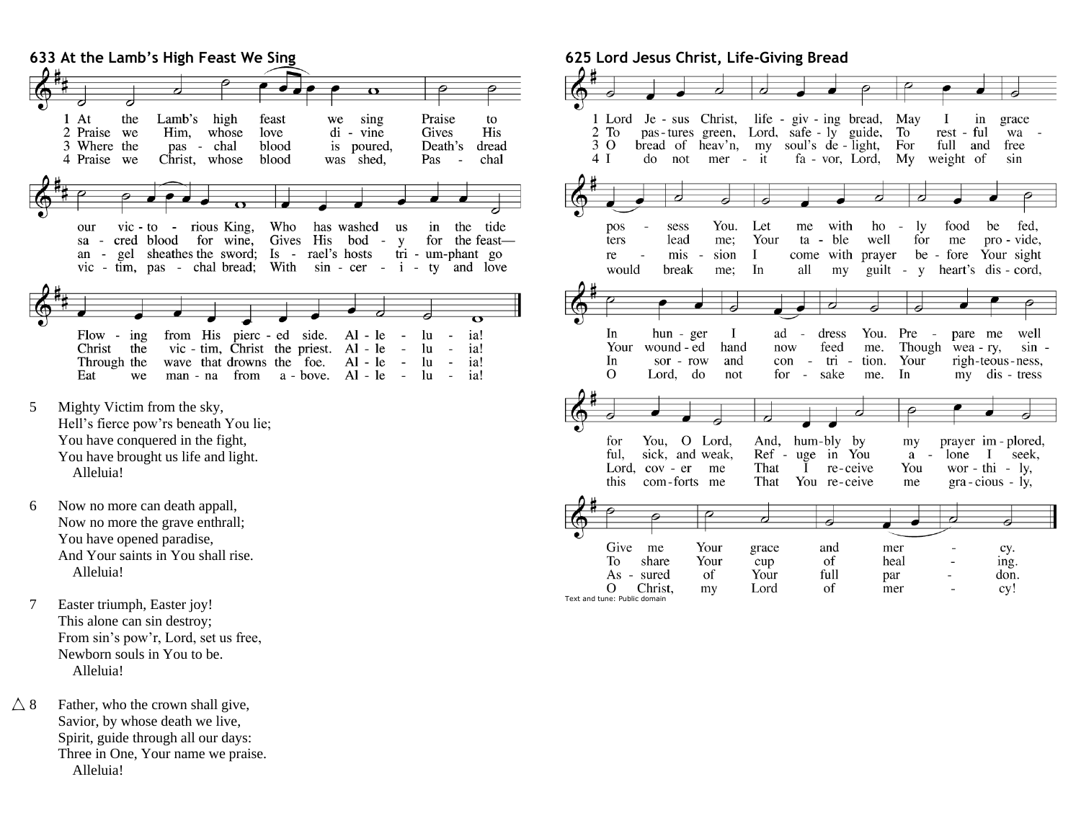

- 5 Mighty Victim from the sky, Hell's fierce pow'rs beneath You lie; You have conquered in the fight, You have brought us life and light. Alleluia!
- 6 Now no more can death appall, Now no more the grave enthrall; You have opened paradise, And Your saints in You shall rise. Alleluia!
- 7 Easter triumph, Easter joy! This alone can sin destroy; From sin's pow'r, Lord, set us free, Newborn souls in You to be. Alleluia!
- $\triangle$  8 Father, who the crown shall give, Savior, by whose death we live, Spirit, guide through all our days: Three in One, Your name we praise. Alleluia!

# **625 Lord Jesus Christ, Life-Giving Bread**



Text and tune: Public domain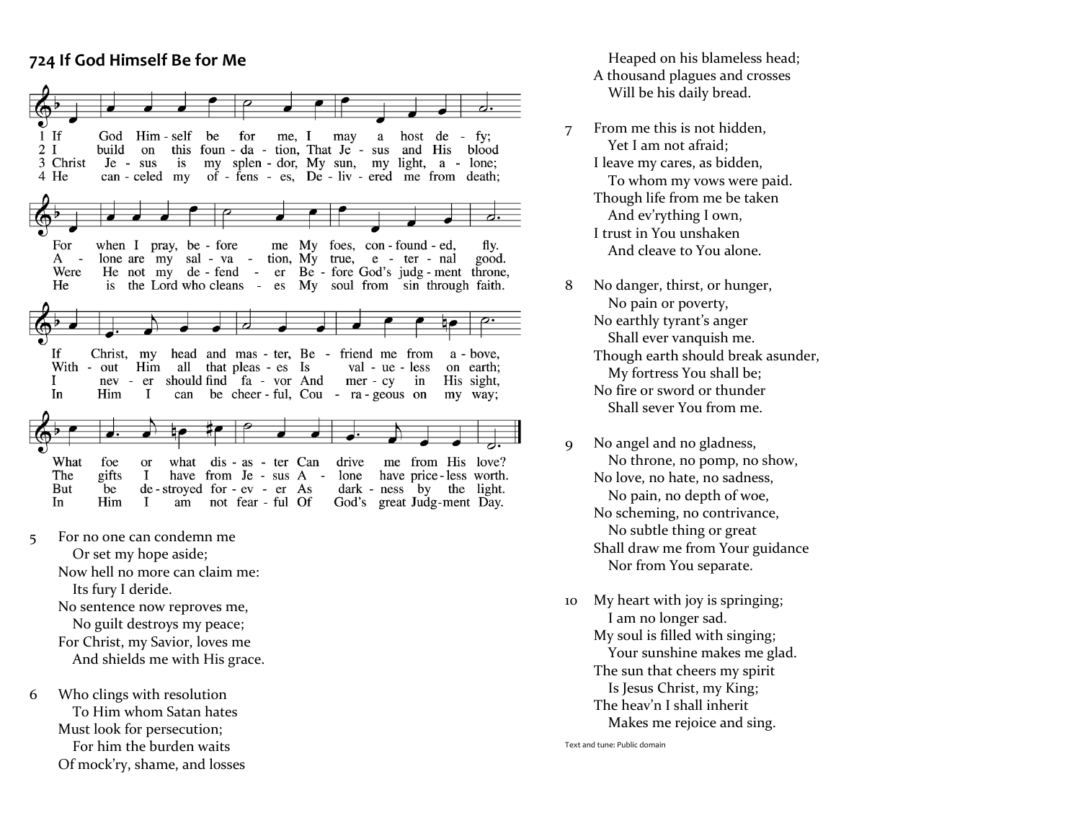# **724 If God Himself Be for Me**



- 5 For no one can condemn me Or set my hope aside; Now hell no more can claim me: Its fury I deride. No sentence now reproves me, No guilt destroys my peace; For Christ, my Savior, loves me And shields me with His grace.
- 6 Who clings with resolution To Him whom Satan hates Must look for persecution; For him the burden waits Of mock'ry, shame, and losses

 Heaped on his blameless head; A thousand plagues and crosses Will be his daily bread.

- 7 From me this is not hidden, Yet I am not afraid; I leave my cares, as bidden, To whom my vows were paid. Though life from me be taken And ev'rything I own, I trust in You unshaken And cleave to You alone.
- 8 No danger, thirst, or hunger, No pain or poverty, No earthly tyrant's anger Shall ever vanquish me. Though earth should break asunder, My fortress You shall be; No fire or sword or thunder Shall sever You from me.
- 9 No angel and no gladness, No throne, no pomp, no show, No love, no hate, no sadness, No pain, no depth of woe, No scheming, no contrivance, No subtle thing or great Shall draw me from Your guidance Nor from You separate .
- 10 My heart with joy is springing; I am no longer sad. My soul is filled with singing; Your sunshine makes me glad. The sun that cheers my spirit Is Jesus Christ, my King; The heav'n I shall inherit Makes me rejoice and sing.

Text and tune: Public domain